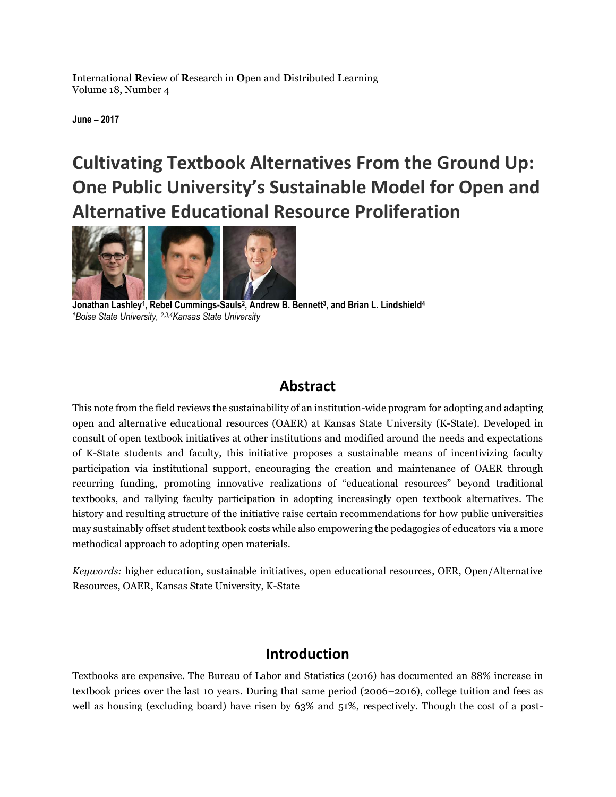**June – 2017**

# **Cultivating Textbook Alternatives From the Ground Up: One Public University's Sustainable Model for Open and Alternative Educational Resource Proliferation**



**Jonathan Lashley<sup>1</sup> , Rebel Cummings-Sauls<sup>2</sup> , Andrew B. Bennett<sup>3</sup> , and Brian L. Lindshield<sup>4</sup>** *<sup>1</sup>Boise State University, 2,3,4Kansas State University*

# **Abstract**

This note from the field reviews the sustainability of an institution-wide program for adopting and adapting open and alternative educational resources (OAER) at Kansas State University (K-State). Developed in consult of open textbook initiatives at other institutions and modified around the needs and expectations of K-State students and faculty, this initiative proposes a sustainable means of incentivizing faculty participation via institutional support, encouraging the creation and maintenance of OAER through recurring funding, promoting innovative realizations of "educational resources" beyond traditional textbooks, and rallying faculty participation in adopting increasingly open textbook alternatives. The history and resulting structure of the initiative raise certain recommendations for how public universities may sustainably offset student textbook costs while also empowering the pedagogies of educators via a more methodical approach to adopting open materials.

*Keywords:* higher education, sustainable initiatives, open educational resources, OER, Open/Alternative Resources, OAER, Kansas State University, K-State

# **Introduction**

Textbooks are expensive. The Bureau of Labor and Statistics (2016) has documented an 88% increase in textbook prices over the last 10 years. During that same period (2006–2016), college tuition and fees as well as housing (excluding board) have risen by 63% and 51%, respectively. Though the cost of a post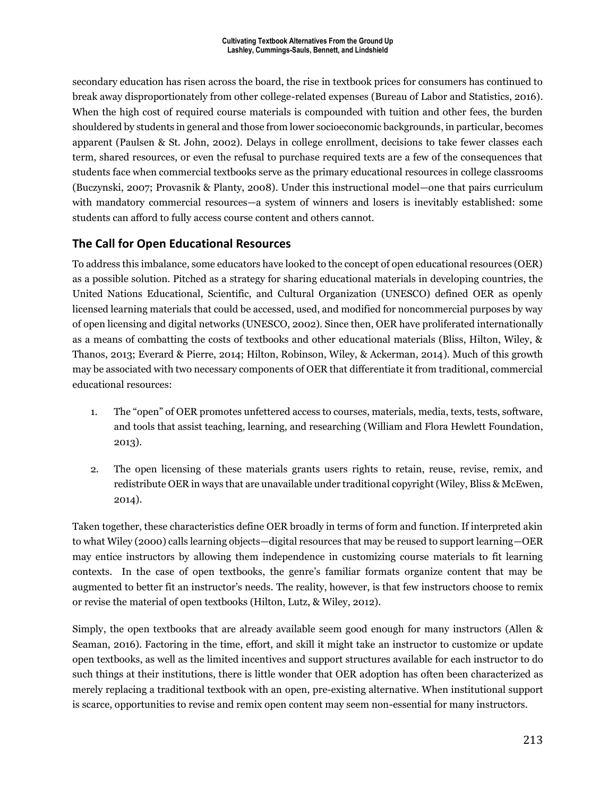secondary education has risen across the board, the rise in textbook prices for consumers has continued to break away disproportionately from other college-related expenses (Bureau of Labor and Statistics, 2016). When the high cost of required course materials is compounded with tuition and other fees, the burden shouldered by students in general and those from lower socioeconomic backgrounds, in particular, becomes apparent (Paulsen & St. John, 2002). Delays in college enrollment, decisions to take fewer classes each term, shared resources, or even the refusal to purchase required texts are a few of the consequences that students face when commercial textbooks serve as the primary educational resources in college classrooms (Buczynski, 2007; Provasnik & Planty, 2008). Under this instructional model—one that pairs curriculum with mandatory commercial resources—a system of winners and losers is inevitably established: some students can afford to fully access course content and others cannot.

### **The Call for Open Educational Resources**

To address this imbalance, some educators have looked to the concept of open educational resources (OER) as a possible solution. Pitched as a strategy for sharing educational materials in developing countries, the United Nations Educational, Scientific, and Cultural Organization (UNESCO) defined OER as openly licensed learning materials that could be accessed, used, and modified for noncommercial purposes by way of open licensing and digital networks (UNESCO, 2002). Since then, OER have proliferated internationally as a means of combatting the costs of textbooks and other educational materials (Bliss, Hilton, Wiley, & Thanos, 2013; Everard & Pierre, 2014; Hilton, Robinson, Wiley, & Ackerman, 2014). Much of this growth may be associated with two necessary components of OER that differentiate it from traditional, commercial educational resources:

- 1. The "open" of OER promotes unfettered access to courses, materials, media, texts, tests, software, and tools that assist teaching, learning, and researching (William and Flora Hewlett Foundation, 2013).
- 2. The open licensing of these materials grants users rights to retain, reuse, revise, remix, and redistribute OER in ways that are unavailable under traditional copyright (Wiley, Bliss & McEwen, 2014).

Taken together, these characteristics define OER broadly in terms of form and function. If interpreted akin to what Wiley (2000) calls learning objects—digital resources that may be reused to support learning—OER may entice instructors by allowing them independence in customizing course materials to fit learning contexts. In the case of open textbooks, the genre's familiar formats organize content that may be augmented to better fit an instructor's needs. The reality, however, is that few instructors choose to remix or revise the material of open textbooks (Hilton, Lutz, & Wiley, 2012).

Simply, the open textbooks that are already available seem good enough for many instructors (Allen & Seaman, 2016). Factoring in the time, effort, and skill it might take an instructor to customize or update open textbooks, as well as the limited incentives and support structures available for each instructor to do such things at their institutions, there is little wonder that OER adoption has often been characterized as merely replacing a traditional textbook with an open, pre-existing alternative. When institutional support is scarce, opportunities to revise and remix open content may seem non-essential for many instructors.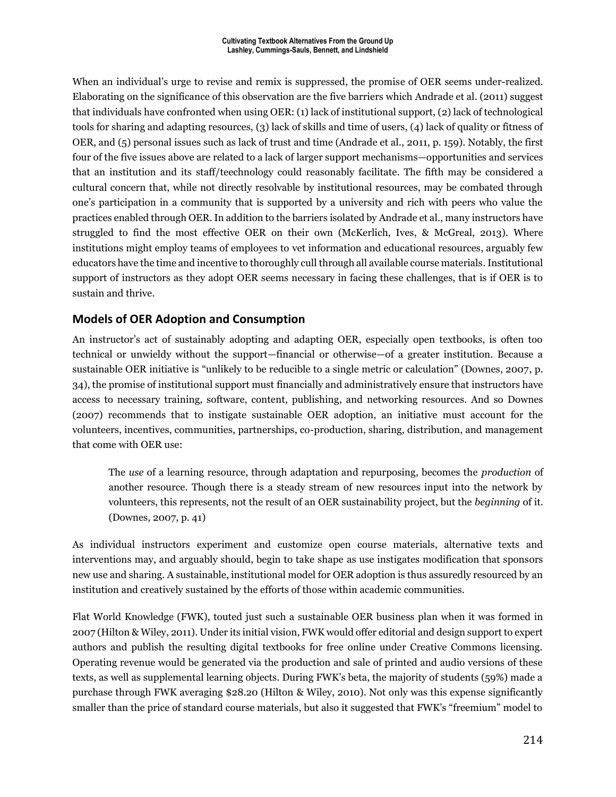When an individual's urge to revise and remix is suppressed, the promise of OER seems under-realized. Elaborating on the significance of this observation are the five barriers which Andrade et al. (2011) suggest that individuals have confronted when using OER: (1) lack of institutional support, (2) lack of technological tools for sharing and adapting resources, (3) lack of skills and time of users, (4) lack of quality or fitness of OER, and (5) personal issues such as lack of trust and time (Andrade et al., 2011, p. 159). Notably, the first four of the five issues above are related to a lack of larger support mechanisms—opportunities and services that an institution and its staff/teechnology could reasonably facilitate. The fifth may be considered a cultural concern that, while not directly resolvable by institutional resources, may be combated through one's participation in a community that is supported by a university and rich with peers who value the practices enabled through OER. In addition to the barriers isolated by Andrade et al., many instructors have struggled to find the most effective OER on their own (McKerlich, Ives, & McGreal, 2013). Where institutions might employ teams of employees to vet information and educational resources, arguably few educators have the time and incentive to thoroughly cull through all available course materials. Institutional support of instructors as they adopt OER seems necessary in facing these challenges, that is if OER is to sustain and thrive.

### **Models of OER Adoption and Consumption**

An instructor's act of sustainably adopting and adapting OER, especially open textbooks, is often too technical or unwieldy without the support—financial or otherwise—of a greater institution. Because a sustainable OER initiative is "unlikely to be reducible to a single metric or calculation" (Downes, 2007, p. 34), the promise of institutional support must financially and administratively ensure that instructors have access to necessary training, software, content, publishing, and networking resources. And so Downes (2007) recommends that to instigate sustainable OER adoption, an initiative must account for the volunteers, incentives, communities, partnerships, co-production, sharing, distribution, and management that come with OER use:

The *use* of a learning resource, through adaptation and repurposing, becomes the *production* of another resource. Though there is a steady stream of new resources input into the network by volunteers, this represents, not the result of an OER sustainability project, but the *beginning* of it. (Downes, 2007, p. 41)

As individual instructors experiment and customize open course materials, alternative texts and interventions may, and arguably should, begin to take shape as use instigates modification that sponsors new use and sharing. A sustainable, institutional model for OER adoption is thus assuredly resourced by an institution and creatively sustained by the efforts of those within academic communities.

Flat World Knowledge (FWK), touted just such a sustainable OER business plan when it was formed in 2007 (Hilton & Wiley, 2011). Under its initial vision, FWK would offer editorial and design support to expert authors and publish the resulting digital textbooks for free online under Creative Commons licensing. Operating revenue would be generated via the production and sale of printed and audio versions of these texts, as well as supplemental learning objects. During FWK's beta, the majority of students (59%) made a purchase through FWK averaging \$28.20 (Hilton & Wiley, 2010). Not only was this expense significantly smaller than the price of standard course materials, but also it suggested that FWK's "freemium" model to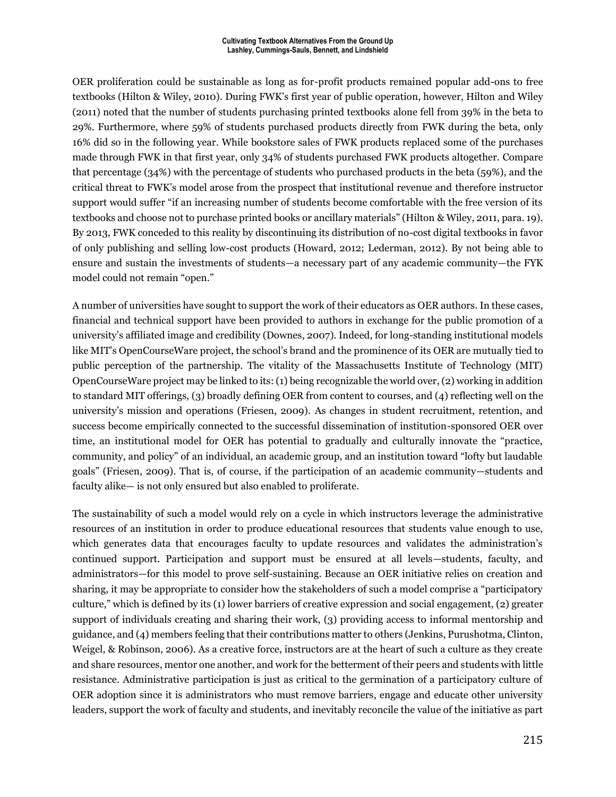OER proliferation could be sustainable as long as for-profit products remained popular add-ons to free textbooks (Hilton & Wiley, 2010). During FWK's first year of public operation, however, Hilton and Wiley (2011) noted that the number of students purchasing printed textbooks alone fell from 39% in the beta to 29%. Furthermore, where 59% of students purchased products directly from FWK during the beta, only 16% did so in the following year. While bookstore sales of FWK products replaced some of the purchases made through FWK in that first year, only 34% of students purchased FWK products altogether. Compare that percentage (34%) with the percentage of students who purchased products in the beta (59%), and the critical threat to FWK's model arose from the prospect that institutional revenue and therefore instructor support would suffer "if an increasing number of students become comfortable with the free version of its textbooks and choose not to purchase printed books or ancillary materials" (Hilton & Wiley, 2011, para. 19). By 2013, FWK conceded to this reality by discontinuing its distribution of no-cost digital textbooks in favor of only publishing and selling low-cost products (Howard, 2012; Lederman, 2012). By not being able to ensure and sustain the investments of students—a necessary part of any academic community—the FYK model could not remain "open."

A number of universities have sought to support the work of their educators as OER authors. In these cases, financial and technical support have been provided to authors in exchange for the public promotion of a university's affiliated image and credibility (Downes, 2007). Indeed, for long-standing institutional models like MIT's OpenCourseWare project, the school's brand and the prominence of its OER are mutually tied to public perception of the partnership. The vitality of the Massachusetts Institute of Technology (MIT) OpenCourseWare project may be linked to its: (1) being recognizable the world over, (2) working in addition to standard MIT offerings, (3) broadly defining OER from content to courses, and (4) reflecting well on the university's mission and operations (Friesen, 2009). As changes in student recruitment, retention, and success become empirically connected to the successful dissemination of institution-sponsored OER over time, an institutional model for OER has potential to gradually and culturally innovate the "practice, community, and policy" of an individual, an academic group, and an institution toward "lofty but laudable goals" (Friesen, 2009). That is, of course, if the participation of an academic community—students and faculty alike— is not only ensured but also enabled to proliferate.

The sustainability of such a model would rely on a cycle in which instructors leverage the administrative resources of an institution in order to produce educational resources that students value enough to use, which generates data that encourages faculty to update resources and validates the administration's continued support. Participation and support must be ensured at all levels—students, faculty, and administrators—for this model to prove self-sustaining. Because an OER initiative relies on creation and sharing, it may be appropriate to consider how the stakeholders of such a model comprise a "participatory culture," which is defined by its (1) lower barriers of creative expression and social engagement, (2) greater support of individuals creating and sharing their work, (3) providing access to informal mentorship and guidance, and (4) members feeling that their contributions matter to others (Jenkins, Purushotma, Clinton, Weigel, & Robinson, 2006). As a creative force, instructors are at the heart of such a culture as they create and share resources, mentor one another, and work for the betterment of their peers and students with little resistance. Administrative participation is just as critical to the germination of a participatory culture of OER adoption since it is administrators who must remove barriers, engage and educate other university leaders, support the work of faculty and students, and inevitably reconcile the value of the initiative as part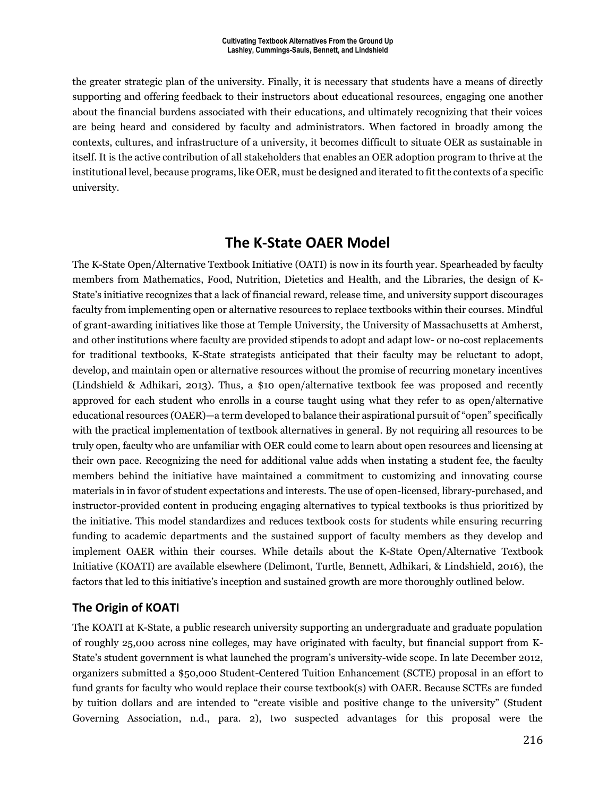the greater strategic plan of the university. Finally, it is necessary that students have a means of directly supporting and offering feedback to their instructors about educational resources, engaging one another about the financial burdens associated with their educations, and ultimately recognizing that their voices are being heard and considered by faculty and administrators. When factored in broadly among the contexts, cultures, and infrastructure of a university, it becomes difficult to situate OER as sustainable in itself. It is the active contribution of all stakeholders that enables an OER adoption program to thrive at the institutional level, because programs, like OER, must be designed and iterated to fit the contexts of a specific university.

# **The K-State OAER Model**

The K-State Open/Alternative Textbook Initiative (OATI) is now in its fourth year. Spearheaded by faculty members from Mathematics, Food, Nutrition, Dietetics and Health, and the Libraries, the design of K-State's initiative recognizes that a lack of financial reward, release time, and university support discourages faculty from implementing open or alternative resources to replace textbooks within their courses. Mindful of grant-awarding initiatives like those at Temple University, the University of Massachusetts at Amherst, and other institutions where faculty are provided stipends to adopt and adapt low- or no-cost replacements for traditional textbooks, K-State strategists anticipated that their faculty may be reluctant to adopt, develop, and maintain open or alternative resources without the promise of recurring monetary incentives (Lindshield & Adhikari, 2013). Thus, a \$10 open/alternative textbook fee was proposed and recently approved for each student who enrolls in a course taught using what they refer to as open/alternative educational resources (OAER)—a term developed to balance their aspirational pursuit of "open" specifically with the practical implementation of textbook alternatives in general. By not requiring all resources to be truly open, faculty who are unfamiliar with OER could come to learn about open resources and licensing at their own pace. Recognizing the need for additional value adds when instating a student fee, the faculty members behind the initiative have maintained a commitment to customizing and innovating course materials in in favor of student expectations and interests. The use of open-licensed, library-purchased, and instructor-provided content in producing engaging alternatives to typical textbooks is thus prioritized by the initiative. This model standardizes and reduces textbook costs for students while ensuring recurring funding to academic departments and the sustained support of faculty members as they develop and implement OAER within their courses. While details about the K-State Open/Alternative Textbook Initiative (KOATI) are available elsewhere (Delimont, Turtle, Bennett, Adhikari, & Lindshield, 2016), the factors that led to this initiative's inception and sustained growth are more thoroughly outlined below.

### **The Origin of KOATI**

The KOATI at K-State, a public research university supporting an undergraduate and graduate population of roughly 25,000 across nine colleges, may have originated with faculty, but financial support from K-State's student government is what launched the program's university-wide scope. In late December 2012, organizers submitted a \$50,000 Student-Centered Tuition Enhancement (SCTE) proposal in an effort to fund grants for faculty who would replace their course textbook(s) with OAER. Because SCTEs are funded by tuition dollars and are intended to "create visible and positive change to the university" (Student Governing Association, n.d., para. 2), two suspected advantages for this proposal were the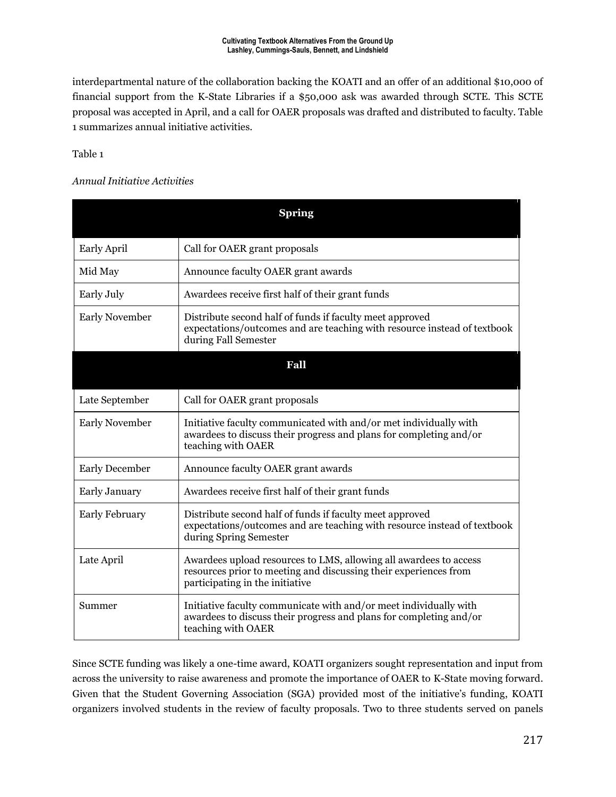interdepartmental nature of the collaboration backing the KOATI and an offer of an additional \$10,000 of financial support from the K-State Libraries if a \$50,000 ask was awarded through SCTE. This SCTE proposal was accepted in April, and a call for OAER proposals was drafted and distributed to faculty. Table 1 summarizes annual initiative activities.

Table 1

#### *Annual Initiative Activities*

|                       | <b>Spring</b>                                                                                                                                                            |  |  |  |
|-----------------------|--------------------------------------------------------------------------------------------------------------------------------------------------------------------------|--|--|--|
| <b>Early April</b>    | Call for OAER grant proposals                                                                                                                                            |  |  |  |
| Mid May               | Announce faculty OAER grant awards                                                                                                                                       |  |  |  |
| Early July            | Awardees receive first half of their grant funds                                                                                                                         |  |  |  |
| <b>Early November</b> | Distribute second half of funds if faculty meet approved<br>expectations/outcomes and are teaching with resource instead of textbook<br>during Fall Semester             |  |  |  |
|                       | Fall                                                                                                                                                                     |  |  |  |
| Late September        | Call for OAER grant proposals                                                                                                                                            |  |  |  |
| <b>Early November</b> | Initiative faculty communicated with and/or met individually with<br>awardees to discuss their progress and plans for completing and/or<br>teaching with OAER            |  |  |  |
| <b>Early December</b> | Announce faculty OAER grant awards                                                                                                                                       |  |  |  |
| <b>Early January</b>  | Awardees receive first half of their grant funds                                                                                                                         |  |  |  |
| <b>Early February</b> | Distribute second half of funds if faculty meet approved<br>expectations/outcomes and are teaching with resource instead of textbook<br>during Spring Semester           |  |  |  |
| Late April            | Awardees upload resources to LMS, allowing all awardees to access<br>resources prior to meeting and discussing their experiences from<br>participating in the initiative |  |  |  |
| Summer                | Initiative faculty communicate with and/or meet individually with<br>awardees to discuss their progress and plans for completing and/or<br>teaching with OAER            |  |  |  |

Since SCTE funding was likely a one-time award, KOATI organizers sought representation and input from across the university to raise awareness and promote the importance of OAER to K-State moving forward. Given that the Student Governing Association (SGA) provided most of the initiative's funding, KOATI organizers involved students in the review of faculty proposals. Two to three students served on panels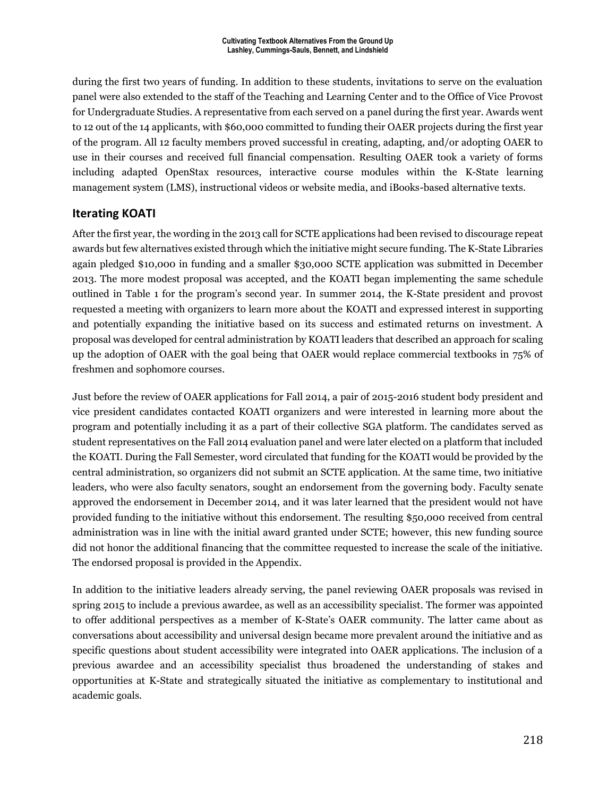during the first two years of funding. In addition to these students, invitations to serve on the evaluation panel were also extended to the staff of the Teaching and Learning Center and to the Office of Vice Provost for Undergraduate Studies. A representative from each served on a panel during the first year. Awards went to 12 out of the 14 applicants, with \$60,000 committed to funding their OAER projects during the first year of the program. All 12 faculty members proved successful in creating, adapting, and/or adopting OAER to use in their courses and received full financial compensation. Resulting OAER took a variety of forms including adapted OpenStax resources, interactive course modules within the K-State learning management system (LMS), instructional videos or website media, and iBooks-based alternative texts.

### **Iterating KOATI**

After the first year, the wording in the 2013 call for SCTE applications had been revised to discourage repeat awards but few alternatives existed through which the initiative might secure funding. The K-State Libraries again pledged \$10,000 in funding and a smaller \$30,000 SCTE application was submitted in December 2013. The more modest proposal was accepted, and the KOATI began implementing the same schedule outlined in Table 1 for the program's second year. In summer 2014, the K-State president and provost requested a meeting with organizers to learn more about the KOATI and expressed interest in supporting and potentially expanding the initiative based on its success and estimated returns on investment. A proposal was developed for central administration by KOATI leaders that described an approach for scaling up the adoption of OAER with the goal being that OAER would replace commercial textbooks in 75% of freshmen and sophomore courses.

Just before the review of OAER applications for Fall 2014, a pair of 2015-2016 student body president and vice president candidates contacted KOATI organizers and were interested in learning more about the program and potentially including it as a part of their collective SGA platform. The candidates served as student representatives on the Fall 2014 evaluation panel and were later elected on a platform that included the KOATI. During the Fall Semester, word circulated that funding for the KOATI would be provided by the central administration, so organizers did not submit an SCTE application. At the same time, two initiative leaders, who were also faculty senators, sought an endorsement from the governing body. Faculty senate approved the endorsement in December 2014, and it was later learned that the president would not have provided funding to the initiative without this endorsement. The resulting \$50,000 received from central administration was in line with the initial award granted under SCTE; however, this new funding source did not honor the additional financing that the committee requested to increase the scale of the initiative. The endorsed proposal is provided in the Appendix.

In addition to the initiative leaders already serving, the panel reviewing OAER proposals was revised in spring 2015 to include a previous awardee, as well as an accessibility specialist. The former was appointed to offer additional perspectives as a member of K-State's OAER community. The latter came about as conversations about accessibility and universal design became more prevalent around the initiative and as specific questions about student accessibility were integrated into OAER applications. The inclusion of a previous awardee and an accessibility specialist thus broadened the understanding of stakes and opportunities at K-State and strategically situated the initiative as complementary to institutional and academic goals.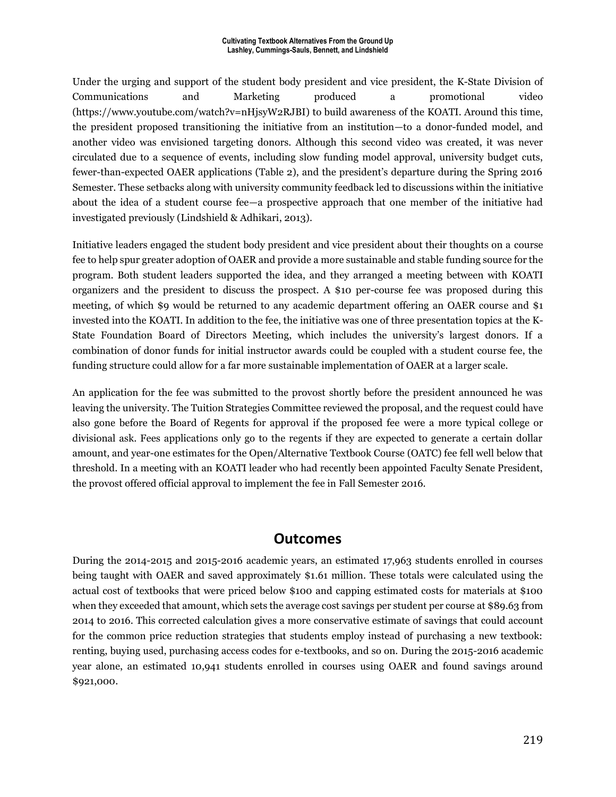Under the urging and support of the student body president and vice president, the K-State Division of Communications and Marketing produced a promotional video (https://www.youtube.com/watch?v=nHjsyW2RJBI) to build awareness of the KOATI. Around this time, the president proposed transitioning the initiative from an institution—to a donor-funded model, and another video was envisioned targeting donors. Although this second video was created, it was never circulated due to a sequence of events, including slow funding model approval, university budget cuts, fewer-than-expected OAER applications (Table 2), and the president's departure during the Spring 2016 Semester. These setbacks along with university community feedback led to discussions within the initiative about the idea of a student course fee—a prospective approach that one member of the initiative had investigated previously (Lindshield & Adhikari, 2013).

Initiative leaders engaged the student body president and vice president about their thoughts on a course fee to help spur greater adoption of OAER and provide a more sustainable and stable funding source for the program. Both student leaders supported the idea, and they arranged a meeting between with KOATI organizers and the president to discuss the prospect. A \$10 per-course fee was proposed during this meeting, of which \$9 would be returned to any academic department offering an OAER course and \$1 invested into the KOATI. In addition to the fee, the initiative was one of three presentation topics at the K-State Foundation Board of Directors Meeting, which includes the university's largest donors. If a combination of donor funds for initial instructor awards could be coupled with a student course fee, the funding structure could allow for a far more sustainable implementation of OAER at a larger scale.

An application for the fee was submitted to the provost shortly before the president announced he was leaving the university. The Tuition Strategies Committee reviewed the proposal, and the request could have also gone before the Board of Regents for approval if the proposed fee were a more typical college or divisional ask. Fees applications only go to the regents if they are expected to generate a certain dollar amount, and year-one estimates for the Open/Alternative Textbook Course (OATC) fee fell well below that threshold. In a meeting with an KOATI leader who had recently been appointed Faculty Senate President, the provost offered official approval to implement the fee in Fall Semester 2016.

# **Outcomes**

During the 2014-2015 and 2015-2016 academic years, an estimated 17,963 students enrolled in courses being taught with OAER and saved approximately \$1.61 million. These totals were calculated using the actual cost of textbooks that were priced below \$100 and capping estimated costs for materials at \$100 when they exceeded that amount, which sets the average cost savings per student per course at \$89.63 from 2014 to 2016. This corrected calculation gives a more conservative estimate of savings that could account for the common price reduction strategies that students employ instead of purchasing a new textbook: renting, buying used, purchasing access codes for e-textbooks, and so on. During the 2015-2016 academic year alone, an estimated 10,941 students enrolled in courses using OAER and found savings around \$921,000.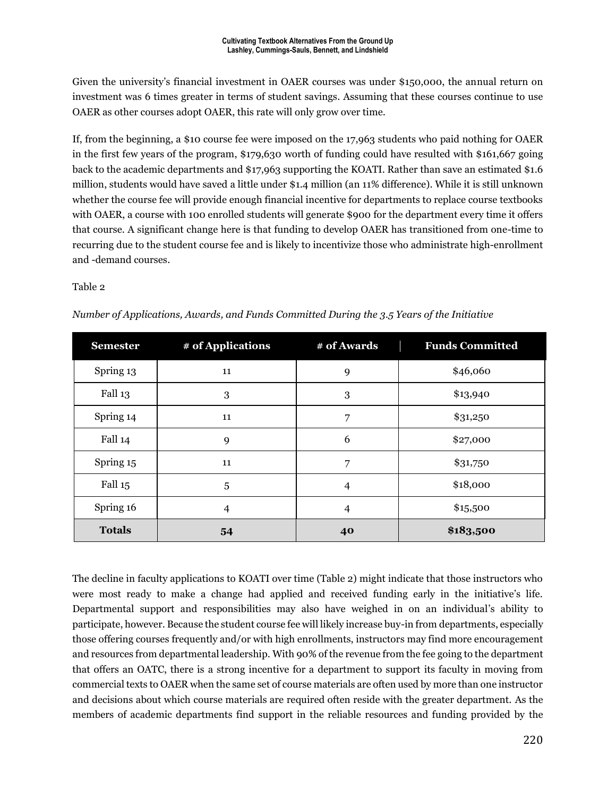Given the university's financial investment in OAER courses was under \$150,000, the annual return on investment was 6 times greater in terms of student savings. Assuming that these courses continue to use OAER as other courses adopt OAER, this rate will only grow over time.

If, from the beginning, a \$10 course fee were imposed on the 17,963 students who paid nothing for OAER in the first few years of the program, \$179,630 worth of funding could have resulted with \$161,667 going back to the academic departments and \$17,963 supporting the KOATI. Rather than save an estimated \$1.6 million, students would have saved a little under \$1.4 million (an 11% difference). While it is still unknown whether the course fee will provide enough financial incentive for departments to replace course textbooks with OAER, a course with 100 enrolled students will generate \$900 for the department every time it offers that course. A significant change here is that funding to develop OAER has transitioned from one-time to recurring due to the student course fee and is likely to incentivize those who administrate high-enrollment and -demand courses.

#### Table 2

| <b>Semester</b>    | # of Applications | # of Awards    | <b>Funds Committed</b> |  |
|--------------------|-------------------|----------------|------------------------|--|
| Spring 13          | 11                | 9              | \$46,060               |  |
| Fall <sub>13</sub> | $\boldsymbol{3}$  | 3              | \$13,940               |  |
| Spring 14          | 11                | 7              | \$31,250               |  |
| Fall 14            | 9                 | 6              | \$27,000               |  |
| Spring 15          | 11                | 7              | \$31,750               |  |
| Fall 15            | 5                 | $\overline{4}$ | \$18,000               |  |
| Spring 16          | 4                 | $\overline{4}$ | \$15,500               |  |
| <b>Totals</b>      | 54                | 40             | \$183,500              |  |

*Number of Applications, Awards, and Funds Committed During the 3.5 Years of the Initiative*

The decline in faculty applications to KOATI over time (Table 2) might indicate that those instructors who were most ready to make a change had applied and received funding early in the initiative's life. Departmental support and responsibilities may also have weighed in on an individual's ability to participate, however. Because the student course fee will likely increase buy-in from departments, especially those offering courses frequently and/or with high enrollments, instructors may find more encouragement and resources from departmental leadership. With 90% of the revenue from the fee going to the department that offers an OATC, there is a strong incentive for a department to support its faculty in moving from commercial texts to OAER when the same set of course materials are often used by more than one instructor and decisions about which course materials are required often reside with the greater department. As the members of academic departments find support in the reliable resources and funding provided by the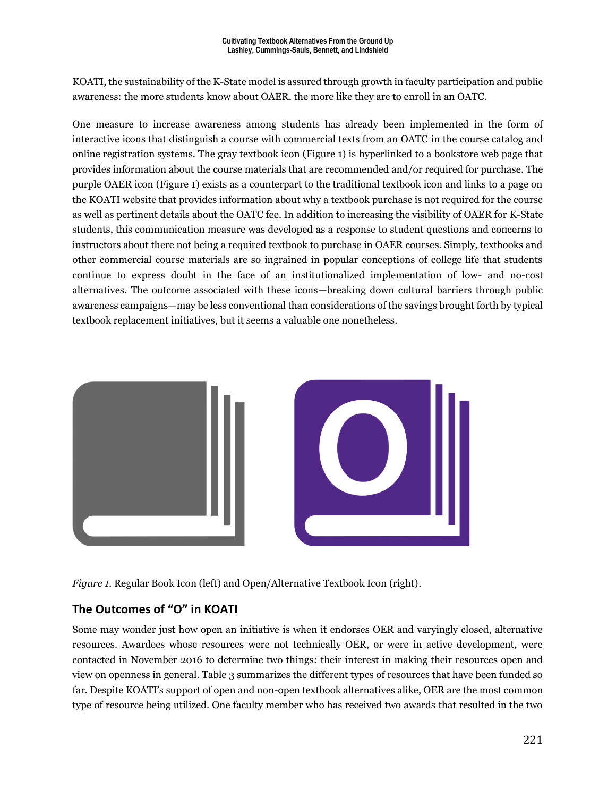KOATI, the sustainability of the K-State model is assured through growth in faculty participation and public awareness: the more students know about OAER, the more like they are to enroll in an OATC.

One measure to increase awareness among students has already been implemented in the form of interactive icons that distinguish a course with commercial texts from an OATC in the course catalog and online registration systems. The gray textbook icon (Figure 1) is hyperlinked to a bookstore web page that provides information about the course materials that are recommended and/or required for purchase. The purple OAER icon (Figure 1) exists as a counterpart to the traditional textbook icon and links to a page on the KOATI website that provides information about why a textbook purchase is not required for the course as well as pertinent details about the OATC fee. In addition to increasing the visibility of OAER for K-State students, this communication measure was developed as a response to student questions and concerns to instructors about there not being a required textbook to purchase in OAER courses. Simply, textbooks and other commercial course materials are so ingrained in popular conceptions of college life that students continue to express doubt in the face of an institutionalized implementation of low- and no-cost alternatives. The outcome associated with these icons—breaking down cultural barriers through public awareness campaigns—may be less conventional than considerations of the savings brought forth by typical textbook replacement initiatives, but it seems a valuable one nonetheless.



*Figure 1.* Regular Book Icon (left) and Open/Alternative Textbook Icon (right).

### **The Outcomes of "O" in KOATI**

Some may wonder just how open an initiative is when it endorses OER and varyingly closed, alternative resources. Awardees whose resources were not technically OER, or were in active development, were contacted in November 2016 to determine two things: their interest in making their resources open and view on openness in general. Table 3 summarizes the different types of resources that have been funded so far. Despite KOATI's support of open and non-open textbook alternatives alike, OER are the most common type of resource being utilized. One faculty member who has received two awards that resulted in the two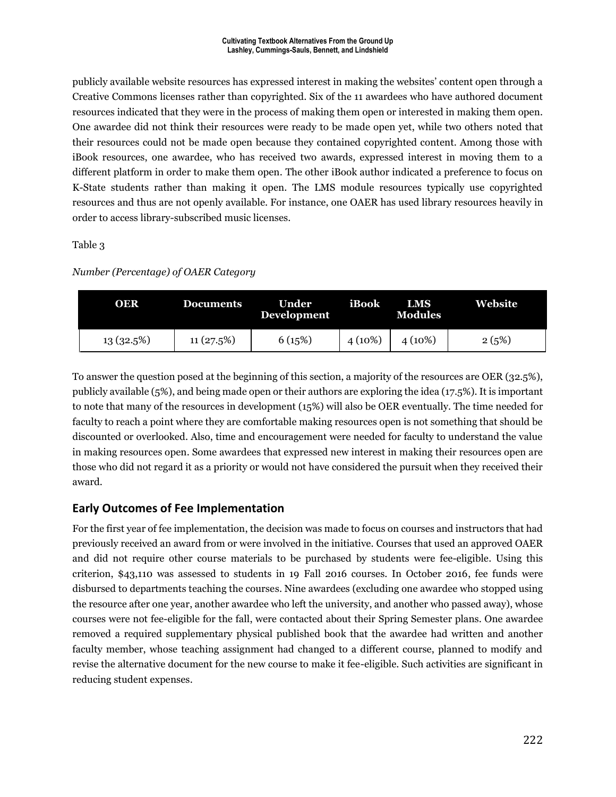publicly available website resources has expressed interest in making the websites' content open through a Creative Commons licenses rather than copyrighted. Six of the 11 awardees who have authored document resources indicated that they were in the process of making them open or interested in making them open. One awardee did not think their resources were ready to be made open yet, while two others noted that their resources could not be made open because they contained copyrighted content. Among those with iBook resources, one awardee, who has received two awards, expressed interest in moving them to a different platform in order to make them open. The other iBook author indicated a preference to focus on K-State students rather than making it open. The LMS module resources typically use copyrighted resources and thus are not openly available. For instance, one OAER has used library resources heavily in order to access library-subscribed music licenses.

Table 3

#### *Number (Percentage) of OAER Category*

| <b>OER</b> | <b>Documents</b> | Under<br><b>Development</b> | iBook     | LMS<br><b>Modules</b> | Website |
|------------|------------------|-----------------------------|-----------|-----------------------|---------|
| 13(32.5%)  | 11(27.5%)        | 6(15%)                      | $4(10\%)$ | $4(10\%)$             | 2(5%)   |

To answer the question posed at the beginning of this section, a majority of the resources are OER (32.5%), publicly available (5%), and being made open or their authors are exploring the idea (17.5%). It is important to note that many of the resources in development (15%) will also be OER eventually. The time needed for faculty to reach a point where they are comfortable making resources open is not something that should be discounted or overlooked. Also, time and encouragement were needed for faculty to understand the value in making resources open. Some awardees that expressed new interest in making their resources open are those who did not regard it as a priority or would not have considered the pursuit when they received their award.

### **Early Outcomes of Fee Implementation**

For the first year of fee implementation, the decision was made to focus on courses and instructors that had previously received an award from or were involved in the initiative. Courses that used an approved OAER and did not require other course materials to be purchased by students were fee-eligible. Using this criterion, \$43,110 was assessed to students in 19 Fall 2016 courses. In October 2016, fee funds were disbursed to departments teaching the courses. Nine awardees (excluding one awardee who stopped using the resource after one year, another awardee who left the university, and another who passed away), whose courses were not fee-eligible for the fall, were contacted about their Spring Semester plans. One awardee removed a required supplementary physical published book that the awardee had written and another faculty member, whose teaching assignment had changed to a different course, planned to modify and revise the alternative document for the new course to make it fee-eligible. Such activities are significant in reducing student expenses.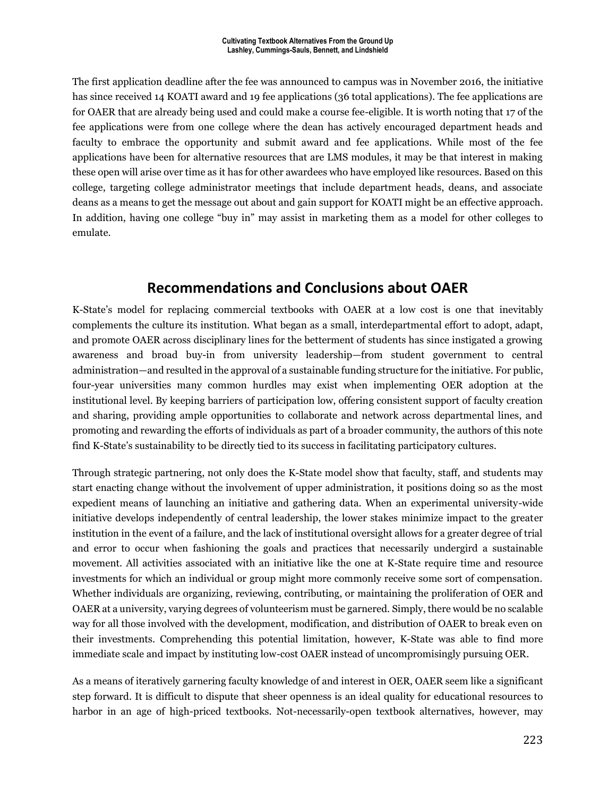The first application deadline after the fee was announced to campus was in November 2016, the initiative has since received 14 KOATI award and 19 fee applications (36 total applications). The fee applications are for OAER that are already being used and could make a course fee-eligible. It is worth noting that 17 of the fee applications were from one college where the dean has actively encouraged department heads and faculty to embrace the opportunity and submit award and fee applications. While most of the fee applications have been for alternative resources that are LMS modules, it may be that interest in making these open will arise over time as it has for other awardees who have employed like resources. Based on this college, targeting college administrator meetings that include department heads, deans, and associate deans as a means to get the message out about and gain support for KOATI might be an effective approach. In addition, having one college "buy in" may assist in marketing them as a model for other colleges to emulate.

# **Recommendations and Conclusions about OAER**

K-State's model for replacing commercial textbooks with OAER at a low cost is one that inevitably complements the culture its institution. What began as a small, interdepartmental effort to adopt, adapt, and promote OAER across disciplinary lines for the betterment of students has since instigated a growing awareness and broad buy-in from university leadership—from student government to central administration—and resulted in the approval of a sustainable funding structure for the initiative. For public, four-year universities many common hurdles may exist when implementing OER adoption at the institutional level. By keeping barriers of participation low, offering consistent support of faculty creation and sharing, providing ample opportunities to collaborate and network across departmental lines, and promoting and rewarding the efforts of individuals as part of a broader community, the authors of this note find K-State's sustainability to be directly tied to its success in facilitating participatory cultures.

Through strategic partnering, not only does the K-State model show that faculty, staff, and students may start enacting change without the involvement of upper administration, it positions doing so as the most expedient means of launching an initiative and gathering data. When an experimental university-wide initiative develops independently of central leadership, the lower stakes minimize impact to the greater institution in the event of a failure, and the lack of institutional oversight allows for a greater degree of trial and error to occur when fashioning the goals and practices that necessarily undergird a sustainable movement. All activities associated with an initiative like the one at K-State require time and resource investments for which an individual or group might more commonly receive some sort of compensation. Whether individuals are organizing, reviewing, contributing, or maintaining the proliferation of OER and OAER at a university, varying degrees of volunteerism must be garnered. Simply, there would be no scalable way for all those involved with the development, modification, and distribution of OAER to break even on their investments. Comprehending this potential limitation, however, K-State was able to find more immediate scale and impact by instituting low-cost OAER instead of uncompromisingly pursuing OER.

As a means of iteratively garnering faculty knowledge of and interest in OER, OAER seem like a significant step forward. It is difficult to dispute that sheer openness is an ideal quality for educational resources to harbor in an age of high-priced textbooks. Not-necessarily-open textbook alternatives, however, may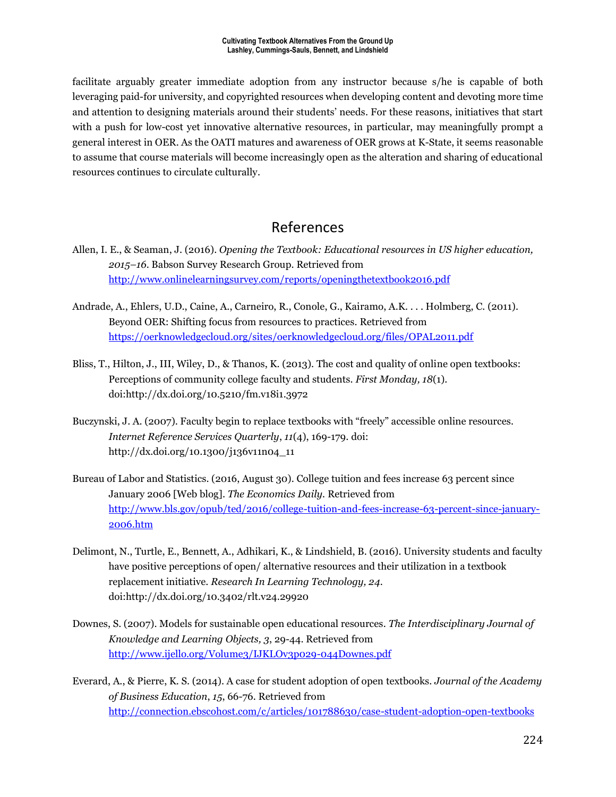facilitate arguably greater immediate adoption from any instructor because s/he is capable of both leveraging paid-for university, and copyrighted resources when developing content and devoting more time and attention to designing materials around their students' needs. For these reasons, initiatives that start with a push for low-cost yet innovative alternative resources, in particular, may meaningfully prompt a general interest in OER. As the OATI matures and awareness of OER grows at K-State, it seems reasonable to assume that course materials will become increasingly open as the alteration and sharing of educational resources continues to circulate culturally.

# References

- Allen, I. E., & Seaman, J. (2016). *Opening the Textbook: Educational resources in US higher education, 2015–16*. Babson Survey Research Group. Retrieved from <http://www.onlinelearningsurvey.com/reports/openingthetextbook2016.pdf>
- Andrade, A., Ehlers, U.D., Caine, A., Carneiro, R., Conole, G., Kairamo, A.K. . . . Holmberg, C. (2011). Beyond OER: Shifting focus from resources to practices. Retrieved from <https://oerknowledgecloud.org/sites/oerknowledgecloud.org/files/OPAL2011.pdf>
- Bliss, T., Hilton, J., III, Wiley, D., & Thanos, K. (2013). The cost and quality of online open textbooks: Perceptions of community college faculty and students. *First Monday, 18*(1). doi:http://dx.doi.org/10.5210/fm.v18i1.3972
- Buczynski, J. A. (2007). Faculty begin to replace textbooks with "freely" accessible online resources. *Internet Reference Services Quarterly*, *11*(4), 169-179. doi: http://dx.doi.org/10.1300/j136v11n04\_11
- Bureau of Labor and Statistics. (2016, August 30). College tuition and fees increase 63 percent since January 2006 [Web blog]. *The Economics Daily.* Retrieved from [http://www.bls.gov/opub/ted/2016/college-tuition-and-fees-increase-63-percent-since-january-](http://www.bls.gov/opub/ted/2016/college-tuition-and-fees-increase-63-percent-since-january-2006.htm)[2006.htm](http://www.bls.gov/opub/ted/2016/college-tuition-and-fees-increase-63-percent-since-january-2006.htm)
- Delimont, N., Turtle, E., Bennett, A., Adhikari, K., & Lindshield, B. (2016). University students and faculty have positive perceptions of open/ alternative resources and their utilization in a textbook replacement initiative. *Research In Learning Technology, 24*. doi:http://dx.doi.org/10.3402/rlt.v24.29920
- Downes, S. (2007). Models for sustainable open educational resources. *The Interdisciplinary Journal of Knowledge and Learning Objects, 3*, 29-44. Retrieved from <http://www.ijello.org/Volume3/IJKLOv3p029-044Downes.pdf>
- Everard, A., & Pierre, K. S. (2014). A case for student adoption of open textbooks. *Journal of the Academy of Business Education*, *15*, 66-76. Retrieved from <http://connection.ebscohost.com/c/articles/101788630/case-student-adoption-open-textbooks>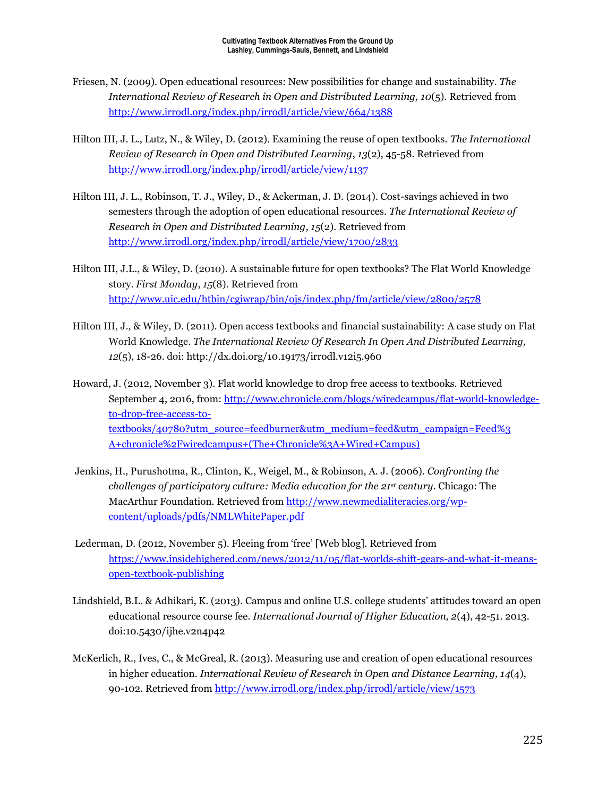- Friesen, N. (2009). Open educational resources: New possibilities for change and sustainability. *The International Review of Research in Open and Distributed Learning, 10*(5). Retrieved from <http://www.irrodl.org/index.php/irrodl/article/view/664/1388>
- Hilton III, J. L., Lutz, N., & Wiley, D. (2012). Examining the reuse of open textbooks. *The International Review of Research in Open and Distributed Learning*, *13*(2), 45-58. Retrieved from <http://www.irrodl.org/index.php/irrodl/article/view/1137>
- Hilton III, J. L., Robinson, T. J., Wiley, D., & Ackerman, J. D. (2014). Cost-savings achieved in two semesters through the adoption of open educational resources. *The International Review of Research in Open and Distributed Learning*, *15*(2). Retrieved from <http://www.irrodl.org/index.php/irrodl/article/view/1700/2833>
- Hilton III, J.L., & Wiley, D. (2010). A sustainable future for open textbooks? The Flat World Knowledge story. *First Monday*, *15*(8). Retrieved from <http://www.uic.edu/htbin/cgiwrap/bin/ojs/index.php/fm/article/view/2800/2578>
- Hilton III, J., & Wiley, D. (2011). Open access textbooks and financial sustainability: A case study on Flat World Knowledge. *The International Review Of Research In Open And Distributed Learning, 12*(5), 18-26. doi: http://dx.doi.org/10.19173/irrodl.v12i5.960
- Howard, J. (2012, November 3). Flat world knowledge to drop free access to textbooks. Retrieved September 4, 2016, from: [http://www.chronicle.com/blogs/wiredcampus/flat-world-knowledge](http://www.chronicle.com/blogs/wiredcampus/flat-world-knowledge-to-drop-free-access-to-textbooks/40780?utm_source=feedburner&utm_medium=feed&utm_campaign=Feed%253%20A+chronicle%2Fwiredcampus+(The+Chronicle%3A+Wired+Campus))[to-drop-free-access-to](http://www.chronicle.com/blogs/wiredcampus/flat-world-knowledge-to-drop-free-access-to-textbooks/40780?utm_source=feedburner&utm_medium=feed&utm_campaign=Feed%253%20A+chronicle%2Fwiredcampus+(The+Chronicle%3A+Wired+Campus))[textbooks/40780?utm\\_source=feedburner&utm\\_medium=feed&utm\\_campaign=Feed%3](http://www.chronicle.com/blogs/wiredcampus/flat-world-knowledge-to-drop-free-access-to-textbooks/40780?utm_source=feedburner&utm_medium=feed&utm_campaign=Feed%253%20A+chronicle%2Fwiredcampus+(The+Chronicle%3A+Wired+Campus))  [A+chronicle%2Fwiredcampus+\(The+Chronicle%3A+Wired+Campus\)](http://www.chronicle.com/blogs/wiredcampus/flat-world-knowledge-to-drop-free-access-to-textbooks/40780?utm_source=feedburner&utm_medium=feed&utm_campaign=Feed%253%20A+chronicle%2Fwiredcampus+(The+Chronicle%3A+Wired+Campus))
- Jenkins, H., Purushotma, R., Clinton, K., Weigel, M., & Robinson, A. J. (2006). *Confronting the challenges of participatory culture: Media education for the 21st century*. Chicago: The MacArthur Foundation. Retrieved from [http://www.newmedialiteracies.org/wp](http://www.newmedialiteracies.org/wp-content/uploads/pdfs/NMLWhitePaper.pdf)[content/uploads/pdfs/NMLWhitePaper.pdf](http://www.newmedialiteracies.org/wp-content/uploads/pdfs/NMLWhitePaper.pdf)
- Lederman, D. (2012, November 5). Fleeing from 'free' [Web blog]. Retrieved from [https://www.insidehighered.com/news/2012/11/05/flat-worlds-shift-gears-and-what-it-means](https://www.insidehighered.com/news/2012/11/05/flat-worlds-shift-gears-and-what-it-means-open-textbook-publishing)[open-textbook-publishing](https://www.insidehighered.com/news/2012/11/05/flat-worlds-shift-gears-and-what-it-means-open-textbook-publishing)
- Lindshield, B.L. & Adhikari, K. (2013). Campus and online U.S. college students' attitudes toward an open educational resource course fee. *International Journal of Higher Education, 2*(4), 42-51. 2013. doi:10.5430/ijhe.v2n4p42
- McKerlich, R., Ives, C., & McGreal, R. (2013). Measuring use and creation of open educational resources in higher education. *International Review of Research in Open and Distance Learning, 14*(4), 90-102. Retrieved fro[m http://www.irrodl.org/index.php/irrodl/article/view/1573](http://www.irrodl.org/index.php/irrodl/article/view/1573)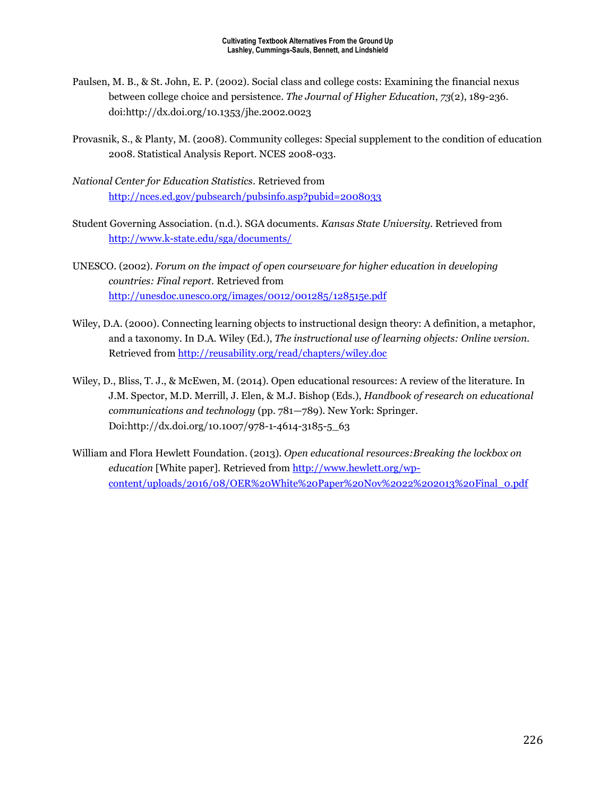- Paulsen, M. B., & St. John, E. P. (2002). Social class and college costs: Examining the financial nexus between college choice and persistence. *The Journal of Higher Education*, *73*(2), 189-236. doi:http://dx.doi.org/10.1353/jhe.2002.0023
- Provasnik, S., & Planty, M. (2008). Community colleges: Special supplement to the condition of education 2008. Statistical Analysis Report. NCES 2008-033.
- *National Center for Education Statistics*. Retrieved from <http://nces.ed.gov/pubsearch/pubsinfo.asp?pubid=2008033>
- Student Governing Association. (n.d.). SGA documents. *Kansas State University.* Retrieved from <http://www.k-state.edu/sga/documents/>
- UNESCO. (2002). *Forum on the impact of open courseware for higher education in developing countries: Final report.* Retrieved from <http://unesdoc.unesco.org/images/0012/001285/128515e.pdf>
- Wiley, D.A. (2000). Connecting learning objects to instructional design theory: A definition, a metaphor, and a taxonomy. In D.A. Wiley (Ed.), *The instructional use of learning objects: Online version*. Retrieved from<http://reusability.org/read/chapters/wiley.doc>
- Wiley, D., Bliss, T. J., & McEwen, M. (2014). Open educational resources: A review of the literature. In J.M. Spector, M.D. Merrill, J. Elen, & M.J. Bishop (Eds.), *Handbook of research on educational communications and technology* (pp. 781—789). New York: Springer. Doi:http://dx.doi.org/10.1007/978-1-4614-3185-5\_63
- William and Flora Hewlett Foundation. (2013). *Open educational resources:Breaking the lockbox on education* [White paper]. Retrieved from [http://www.hewlett.org/wp](http://www.hewlett.org/wp-content/uploads/2016/08/OER%20White%20Paper%20Nov%2022%202013%20Final_0.pdf)[content/uploads/2016/08/OER%20White%20Paper%20Nov%2022%202013%20Final\\_0.pdf](http://www.hewlett.org/wp-content/uploads/2016/08/OER%20White%20Paper%20Nov%2022%202013%20Final_0.pdf)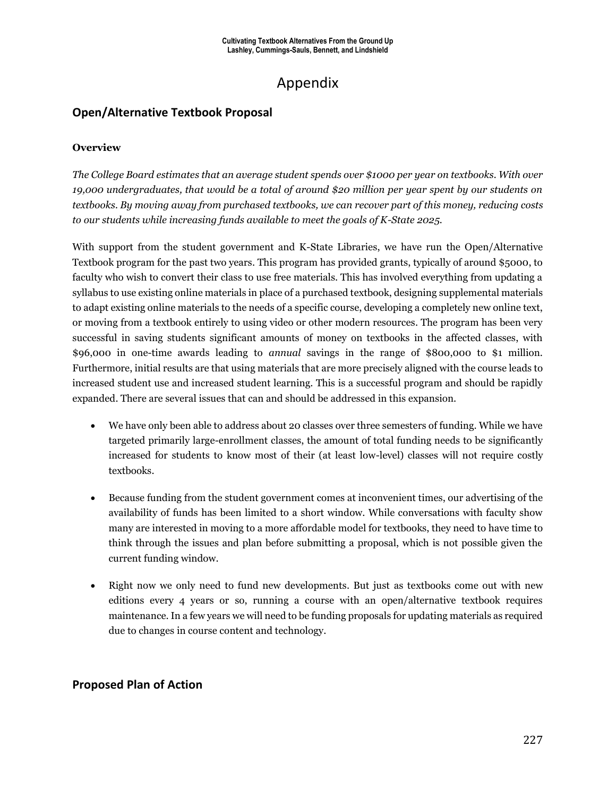# Appendix

### **Open/Alternative Textbook Proposal**

#### **Overview**

*The College Board estimates that an average student spends over \$1000 per year on textbooks. With over 19,000 undergraduates, that would be a total of around \$20 million per year spent by our students on textbooks. By moving away from purchased textbooks, we can recover part of this money, reducing costs to our students while increasing funds available to meet the goals of K-State 2025.* 

With support from the student government and K-State Libraries, we have run the Open/Alternative Textbook program for the past two years. This program has provided grants, typically of around \$5000, to faculty who wish to convert their class to use free materials. This has involved everything from updating a syllabus to use existing online materials in place of a purchased textbook, designing supplemental materials to adapt existing online materials to the needs of a specific course, developing a completely new online text, or moving from a textbook entirely to using video or other modern resources. The program has been very successful in saving students significant amounts of money on textbooks in the affected classes, with \$96,000 in one-time awards leading to *annual* savings in the range of \$800,000 to \$1 million. Furthermore, initial results are that using materials that are more precisely aligned with the course leads to increased student use and increased student learning. This is a successful program and should be rapidly expanded. There are several issues that can and should be addressed in this expansion.

- We have only been able to address about 20 classes over three semesters of funding. While we have targeted primarily large-enrollment classes, the amount of total funding needs to be significantly increased for students to know most of their (at least low-level) classes will not require costly textbooks.
- Because funding from the student government comes at inconvenient times, our advertising of the availability of funds has been limited to a short window. While conversations with faculty show many are interested in moving to a more affordable model for textbooks, they need to have time to think through the issues and plan before submitting a proposal, which is not possible given the current funding window.
- Right now we only need to fund new developments. But just as textbooks come out with new editions every 4 years or so, running a course with an open/alternative textbook requires maintenance. In a few years we will need to be funding proposals for updating materials as required due to changes in course content and technology.

### **Proposed Plan of Action**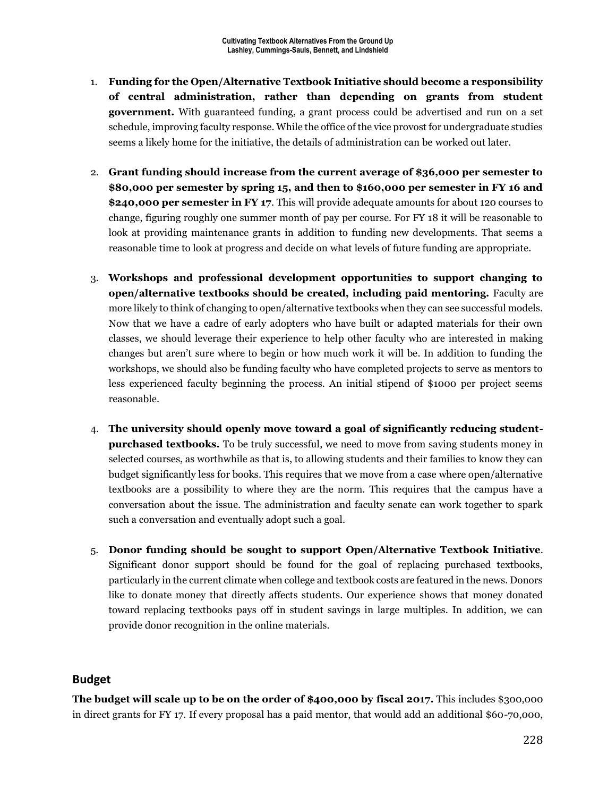- 1. **Funding for the Open/Alternative Textbook Initiative should become a responsibility of central administration, rather than depending on grants from student government.** With guaranteed funding, a grant process could be advertised and run on a set schedule, improving faculty response. While the office of the vice provost for undergraduate studies seems a likely home for the initiative, the details of administration can be worked out later.
- 2. **Grant funding should increase from the current average of \$36,000 per semester to \$80,000 per semester by spring 15, and then to \$160,000 per semester in FY 16 and \$240,000 per semester in FY 17**. This will provide adequate amounts for about 120 courses to change, figuring roughly one summer month of pay per course. For FY 18 it will be reasonable to look at providing maintenance grants in addition to funding new developments. That seems a reasonable time to look at progress and decide on what levels of future funding are appropriate.
- 3. **Workshops and professional development opportunities to support changing to open/alternative textbooks should be created, including paid mentoring.** Faculty are more likely to think of changing to open/alternative textbooks when they can see successful models. Now that we have a cadre of early adopters who have built or adapted materials for their own classes, we should leverage their experience to help other faculty who are interested in making changes but aren't sure where to begin or how much work it will be. In addition to funding the workshops, we should also be funding faculty who have completed projects to serve as mentors to less experienced faculty beginning the process. An initial stipend of \$1000 per project seems reasonable.
- 4. **The university should openly move toward a goal of significantly reducing studentpurchased textbooks.** To be truly successful, we need to move from saving students money in selected courses, as worthwhile as that is, to allowing students and their families to know they can budget significantly less for books. This requires that we move from a case where open/alternative textbooks are a possibility to where they are the norm. This requires that the campus have a conversation about the issue. The administration and faculty senate can work together to spark such a conversation and eventually adopt such a goal.
- 5. **Donor funding should be sought to support Open/Alternative Textbook Initiative**. Significant donor support should be found for the goal of replacing purchased textbooks, particularly in the current climate when college and textbook costs are featured in the news. Donors like to donate money that directly affects students. Our experience shows that money donated toward replacing textbooks pays off in student savings in large multiples. In addition, we can provide donor recognition in the online materials.

### **Budget**

**The budget will scale up to be on the order of \$400,000 by fiscal 2017.** This includes \$300,000 in direct grants for FY 17. If every proposal has a paid mentor, that would add an additional \$60-70,000,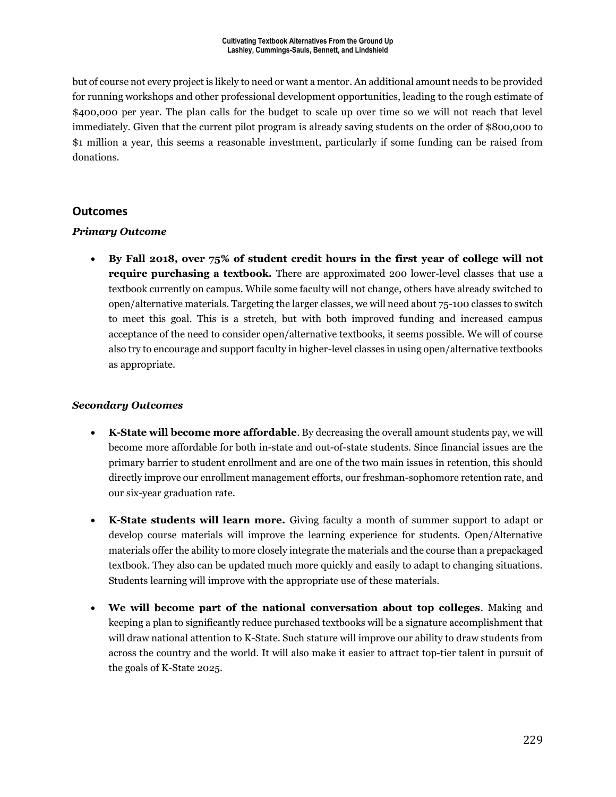but of course not every project is likely to need or want a mentor. An additional amount needs to be provided for running workshops and other professional development opportunities, leading to the rough estimate of \$400,000 per year. The plan calls for the budget to scale up over time so we will not reach that level immediately. Given that the current pilot program is already saving students on the order of \$800,000 to \$1 million a year, this seems a reasonable investment, particularly if some funding can be raised from donations.

#### **Outcomes**

#### *Primary Outcome*

 **By Fall 2018, over 75% of student credit hours in the first year of college will not require purchasing a textbook.** There are approximated 200 lower-level classes that use a textbook currently on campus. While some faculty will not change, others have already switched to open/alternative materials. Targeting the larger classes, we will need about 75-100 classes to switch to meet this goal. This is a stretch, but with both improved funding and increased campus acceptance of the need to consider open/alternative textbooks, it seems possible. We will of course also try to encourage and support faculty in higher-level classes in using open/alternative textbooks as appropriate.

#### *Secondary Outcomes*

- **K-State will become more affordable**. By decreasing the overall amount students pay, we will become more affordable for both in-state and out-of-state students. Since financial issues are the primary barrier to student enrollment and are one of the two main issues in retention, this should directly improve our enrollment management efforts, our freshman-sophomore retention rate, and our six-year graduation rate.
- **K-State students will learn more.** Giving faculty a month of summer support to adapt or develop course materials will improve the learning experience for students. Open/Alternative materials offer the ability to more closely integrate the materials and the course than a prepackaged textbook. They also can be updated much more quickly and easily to adapt to changing situations. Students learning will improve with the appropriate use of these materials.
- **We will become part of the national conversation about top colleges**. Making and keeping a plan to significantly reduce purchased textbooks will be a signature accomplishment that will draw national attention to K-State. Such stature will improve our ability to draw students from across the country and the world. It will also make it easier to attract top-tier talent in pursuit of the goals of K-State 2025.